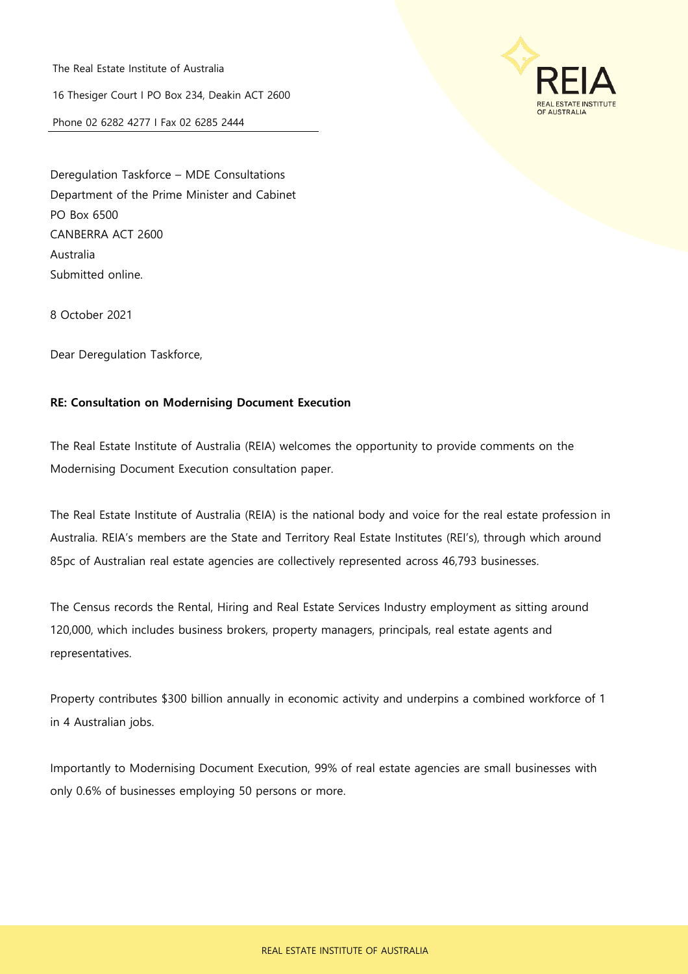The Real Estate Institute of Australia

16 Thesiger Court I PO Box 234, Deakin ACT 2600

Phone 02 6282 4277 I Fax 02 6285 2444



Deregulation Taskforce – MDE Consultations Department of the Prime Minister and Cabinet PO Box 6500 CANBERRA ACT 2600 Australia Submitted online.

8 October 2021

Dear Deregulation Taskforce,

## **RE: Consultation on Modernising Document Execution**

The Real Estate Institute of Australia (REIA) welcomes the opportunity to provide comments on the Modernising Document Execution consultation paper.

The Real Estate Institute of Australia (REIA) is the national body and voice for the real estate profession in Australia. REIA's members are the State and Territory Real Estate Institutes (REI's), through which around 85pc of Australian real estate agencies are collectively represented across 46,793 businesses.

The Census records the Rental, Hiring and Real Estate Services Industry employment as sitting around 120,000, which includes business brokers, property managers, principals, real estate agents and representatives.

Property contributes \$300 billion annually in economic activity and underpins a combined workforce of 1 in 4 Australian jobs.

Importantly to Modernising Document Execution, 99% of real estate agencies are small businesses with only 0.6% of businesses employing 50 persons or more.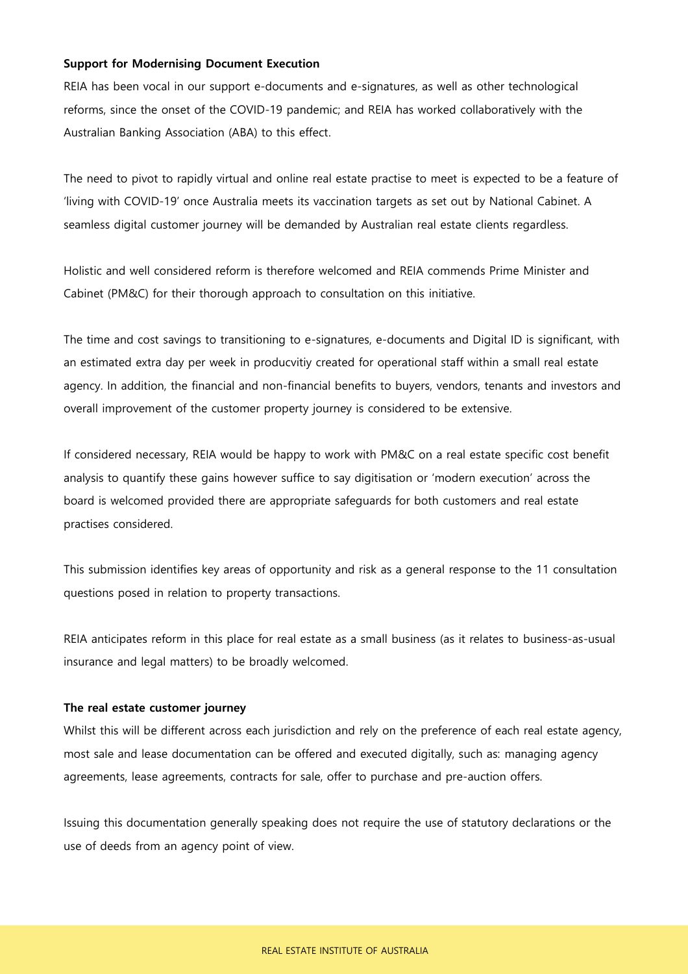#### **Support for Modernising Document Execution**

REIA has been vocal in our support e-documents and e-signatures, as well as other technological reforms, since the onset of the COVID-19 pandemic; and REIA has worked collaboratively with the Australian Banking Association (ABA) to this effect.

The need to pivot to rapidly virtual and online real estate practise to meet is expected to be a feature of 'living with COVID-19' once Australia meets its vaccination targets as set out by National Cabinet. A seamless digital customer journey will be demanded by Australian real estate clients regardless.

Holistic and well considered reform is therefore welcomed and REIA commends Prime Minister and Cabinet (PM&C) for their thorough approach to consultation on this initiative.

The time and cost savings to transitioning to e-signatures, e-documents and Digital ID is significant, with an estimated extra day per week in producvitiy created for operational staff within a small real estate agency. In addition, the financial and non-financial benefits to buyers, vendors, tenants and investors and overall improvement of the customer property journey is considered to be extensive.

If considered necessary, REIA would be happy to work with PM&C on a real estate specific cost benefit analysis to quantify these gains however suffice to say digitisation or 'modern execution' across the board is welcomed provided there are appropriate safeguards for both customers and real estate practises considered.

This submission identifies key areas of opportunity and risk as a general response to the 11 consultation questions posed in relation to property transactions.

REIA anticipates reform in this place for real estate as a small business (as it relates to business-as-usual insurance and legal matters) to be broadly welcomed.

### **The real estate customer journey**

Whilst this will be different across each jurisdiction and rely on the preference of each real estate agency, most sale and lease documentation can be offered and executed digitally, such as: managing agency agreements, lease agreements, contracts for sale, offer to purchase and pre-auction offers.

Issuing this documentation generally speaking does not require the use of statutory declarations or the use of deeds from an agency point of view.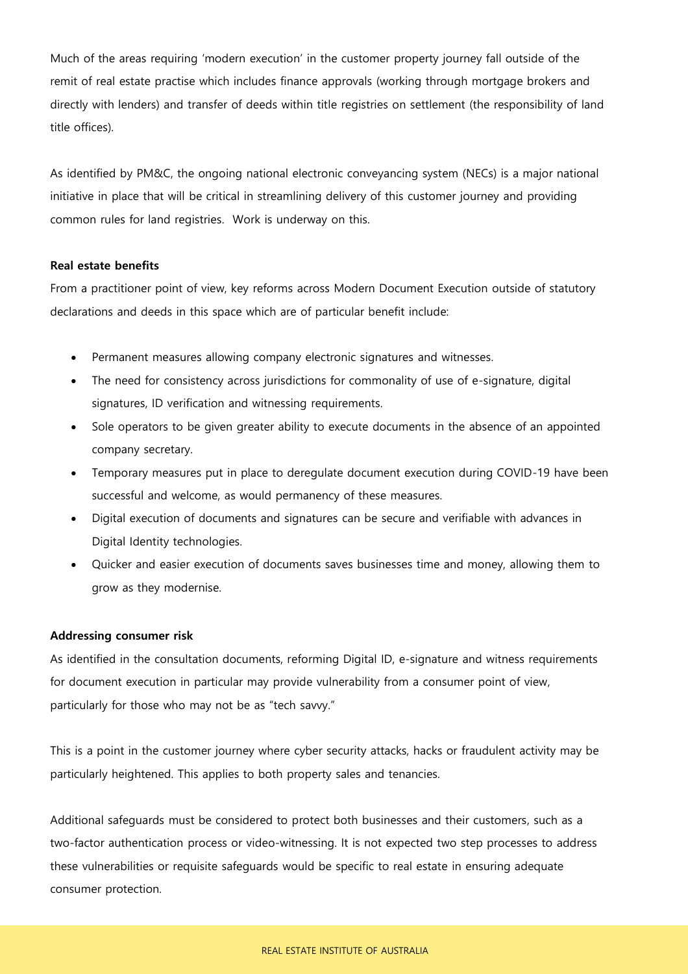Much of the areas requiring 'modern execution' in the customer property journey fall outside of the remit of real estate practise which includes finance approvals (working through mortgage brokers and directly with lenders) and transfer of deeds within title registries on settlement (the responsibility of land title offices).

As identified by PM&C, the ongoing national electronic conveyancing system (NECs) is a major national initiative in place that will be critical in streamlining delivery of this customer journey and providing common rules for land registries. Work is underway on this.

#### **Real estate benefits**

From a practitioner point of view, key reforms across Modern Document Execution outside of statutory declarations and deeds in this space which are of particular benefit include:

- Permanent measures allowing company electronic signatures and witnesses.
- The need for consistency across jurisdictions for commonality of use of e-signature, digital signatures, ID verification and witnessing requirements.
- Sole operators to be given greater ability to execute documents in the absence of an appointed company secretary.
- Temporary measures put in place to deregulate document execution during COVID-19 have been successful and welcome, as would permanency of these measures.
- Digital execution of documents and signatures can be secure and verifiable with advances in Digital Identity technologies.
- Quicker and easier execution of documents saves businesses time and money, allowing them to grow as they modernise.

## **Addressing consumer risk**

As identified in the consultation documents, reforming Digital ID, e-signature and witness requirements for document execution in particular may provide vulnerability from a consumer point of view, particularly for those who may not be as "tech savvy."

This is a point in the customer journey where cyber security attacks, hacks or fraudulent activity may be particularly heightened. This applies to both property sales and tenancies.

Additional safeguards must be considered to protect both businesses and their customers, such as a two-factor authentication process or video-witnessing. It is not expected two step processes to address these vulnerabilities or requisite safeguards would be specific to real estate in ensuring adequate consumer protection.